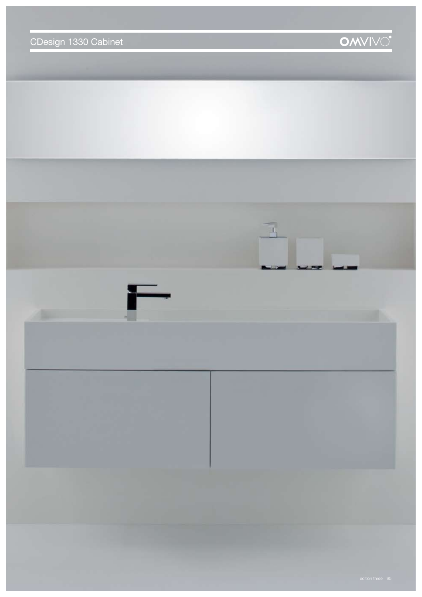